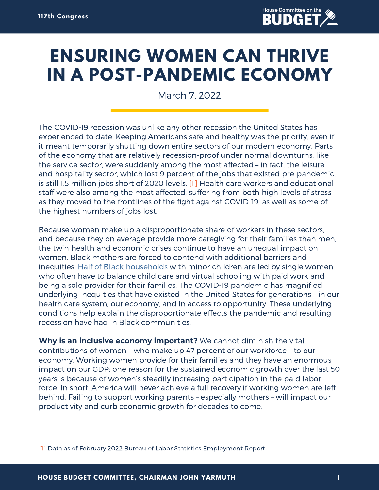

## **ENSURING WOMEN CAN THRIVE IN A POST-PANDEMIC ECONOMY**

March 7, 2022

The COVID-19 recession was unlike any other recession the United States has experienced to date. Keeping Americans safe and healthy was the priority, even if it meant temporarily shutting down entire sectors of our modern economy. Parts of the economy that are relatively recession-proof under normal downturns, like the service sector, were suddenly among the most affected – in fact, the leisure and hospitality sector, which lost 9 percent of the jobs that existed pre-pandemic, is still 1.5 million jobs short of 2020 levels. [1] Health care workers and educational staff were also among the most affected, suffering from both high levels of stress as they moved to the frontlines of the fight against COVID-19, as well as some of the highest numbers of jobs lost.

Because women make up a disproportionate share of workers in these sectors, and because they on average provide more caregiving for their families than men, the twin health and economic crises continue to have an unequal impact on women. Black mothers are forced to contend with additional barriers and inequities. Half of Black [households](https://www.stlouisfed.org/on-the-economy/2020/december/she-cession-persists-women-of-color) with minor children are led by single women, who often have to balance child care and virtual schooling with paid work and being a sole provider for their families. The COVID-19 pandemic has magnified underlying inequities that have existed in the United States for generations – in our health care system, our economy, and in access to opportunity. These underlying conditions help explain the disproportionate effects the pandemic and resulting recession have had in Black communities.

**Why is an inclusive economy important?** We cannot diminish the vital contributions of women – who make up 47 percent of our workforce – to our economy. Working women provide for their families and they have an enormous impact on our GDP: one reason for the sustained economic growth over the last 50 years is because of women's steadily increasing participation in the paid labor force. In short, America will never achieve a full recovery if working women are left behind. Failing to support working parents – especially mothers – will impact our productivity and curb economic growth for decades to come.

<sup>[1]</sup> Data as of February 2022 Bureau of Labor Statistics Employment Report.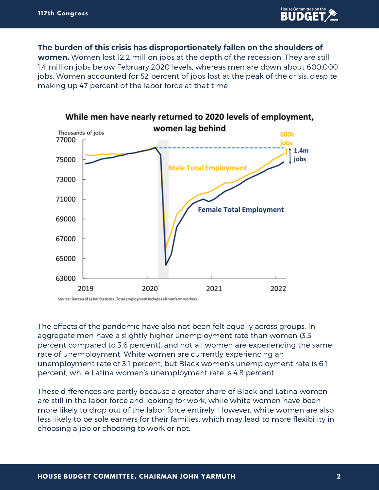

**The burden of this crisis has disproportionately fallen on the shoulders of women.** Women lost 12.2 million jobs at the depth of the recession. They are still 1.4 million jobs below February 2020 levels, whereas men are down about 600,000 jobs. Women accounted for 52 percent of jobs lost at the peak of the crisis, despite making up 47 percent of the labor force at that time.



Source: Bureau of Labor Statistics. Total employment includes all nonfarm workers

The effects of the pandemic have also not been felt equally across groups. In aggregate men have a slightly higher unemployment rate than women (3.5 percent compared to 3.6 percent), and not all women are experiencing the same rate of unemployment. White women are currently experiencing an unemployment rate of 3.1 percent, but Black women's unemployment rate is 6.1 percent, while Latina women's unemployment rate is 4.8 percent.

These differences are partly because a greater share of Black and Latina women are still in the labor force and looking for work, while white women have been more likely to drop out of the labor force entirely. However, white women are also less likely to be sole earners for their families, which may lead to more flexibility in choosing a job or choosing to work or not.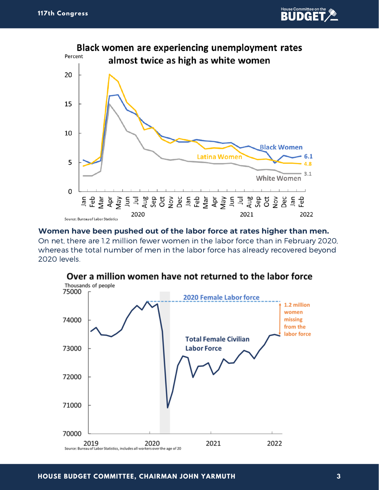



**Women have been pushed out of the labor force at rates higher than men.** On net, there are 1.2 million fewer women in the labor force than in February 2020, whereas the total number of men in the labor force has already recovered beyond 2020 levels.



## Over a million women have not returned to the labor force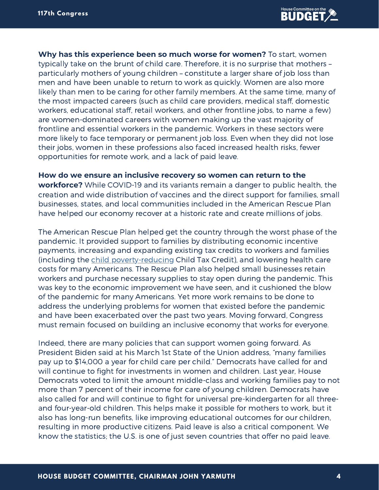**Why has this experience been so much worse for women?** To start, women typically take on the brunt of child care. Therefore, it is no surprise that mothers – particularly mothers of young children – constitute a larger share of job loss than men and have been unable to return to work as quickly. Women are also more likely than men to be caring for other family members. At the same time, many of the most impacted careers (such as child care providers, medical staff, domestic workers, educational staff, retail workers, and other frontline jobs, to name a few) are women-dominated careers with women making up the vast majority of frontline and essential workers in the pandemic. Workers in these sectors were more likely to face temporary or permanent job loss. Even when they did not lose their jobs, women in these professions also faced increased health risks, fewer opportunities for remote work, and a lack of paid leave.

**How do we ensure an inclusive recovery so women can return to the workforce?** While COVID-19 and its variants remain a danger to public health, the creation and wide distribution of vaccines and the direct support for families, small businesses, states, and local communities included in the American Rescue Plan have helped our economy recover at a historic rate and create millions of jobs.

The American Rescue Plan helped get the country through the worst phase of the pandemic. It provided support to families by distributing economic incentive payments, increasing and expanding existing tax credits to workers and families (including the child [poverty-reducing](https://static1.squarespace.com/static/5743308460b5e922a25a6dc7/t/61e73f1169294a3cba6af9d9/1642544913557/Monthly-poverty-December-2021-CPSP.pdf) Child Tax Credit), and lowering health care costs for many Americans. The Rescue Plan also helped small businesses retain workers and purchase necessary supplies to stay open during the pandemic. This was key to the economic improvement we have seen, and it cushioned the blow of the pandemic for many Americans. Yet more work remains to be done to address the underlying problems for women that existed before the pandemic and have been exacerbated over the past two years. Moving forward, Congress must remain focused on building an inclusive economy that works for everyone.

Indeed, there are many policies that can support women going forward. As President Biden said at his March 1st State of the Union address, "many families pay up to \$14,000 a year for child care per child." Democrats have called for and will continue to fight for investments in women and children. Last year, House Democrats voted to limit the amount middle-class and working families pay to not more than 7 percent of their income for care of young children. Democrats have also called for and will continue to fight for universal pre-kindergarten for all threeand four-year-old children. This helps make it possible for mothers to work, but it also has long-run benefits, like improving educational outcomes for our children, resulting in more productive citizens. Paid leave is also a critical component. We know the statistics; the U.S. is one of just seven countries that offer no paid leave.